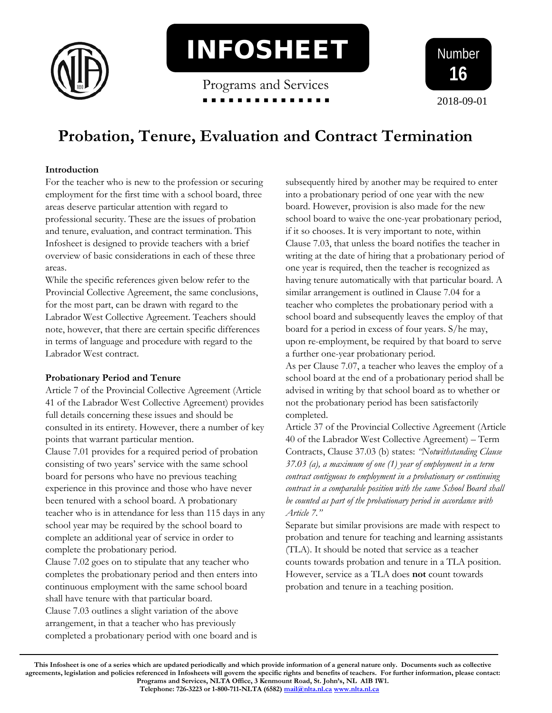

INFOSHEET

Programs and Services



# **Probation, Tenure, Evaluation and Contract Termination**

## **Introduction**

For the teacher who is new to the profession or securing employment for the first time with a school board, three areas deserve particular attention with regard to professional security. These are the issues of probation and tenure, evaluation, and contract termination. This Infosheet is designed to provide teachers with a brief overview of basic considerations in each of these three areas.

While the specific references given below refer to the Provincial Collective Agreement, the same conclusions, for the most part, can be drawn with regard to the Labrador West Collective Agreement. Teachers should note, however, that there are certain specific differences in terms of language and procedure with regard to the Labrador West contract.

## **Probationary Period and Tenure**

Article 7 of the Provincial Collective Agreement (Article 41 of the Labrador West Collective Agreement) provides full details concerning these issues and should be consulted in its entirety. However, there a number of key points that warrant particular mention.

Clause 7.01 provides for a required period of probation consisting of two years' service with the same school board for persons who have no previous teaching experience in this province and those who have never been tenured with a school board. A probationary teacher who is in attendance for less than 115 days in any school year may be required by the school board to complete an additional year of service in order to complete the probationary period.

Clause 7.02 goes on to stipulate that any teacher who completes the probationary period and then enters into continuous employment with the same school board shall have tenure with that particular board. Clause 7.03 outlines a slight variation of the above arrangement, in that a teacher who has previously completed a probationary period with one board and is

subsequently hired by another may be required to enter into a probationary period of one year with the new board. However, provision is also made for the new school board to waive the one-year probationary period, if it so chooses. It is very important to note, within Clause 7.03, that unless the board notifies the teacher in writing at the date of hiring that a probationary period of one year is required, then the teacher is recognized as having tenure automatically with that particular board. A similar arrangement is outlined in Clause 7.04 for a teacher who completes the probationary period with a school board and subsequently leaves the employ of that board for a period in excess of four years. S/he may, upon re-employment, be required by that board to serve a further one-year probationary period.

As per Clause 7.07, a teacher who leaves the employ of a school board at the end of a probationary period shall be advised in writing by that school board as to whether or not the probationary period has been satisfactorily completed.

Article 37 of the Provincial Collective Agreement (Article 40 of the Labrador West Collective Agreement) – Term Contracts, Clause 37.03 (b) states: *"Notwithstanding Clause 37.03 (a), a maximum of one (1) year of employment in a term contract contiguous to employment in a probationary or continuing contract in a comparable position with the same School Board shall be counted as part of the probationary period in accordance with Article 7."*

Separate but similar provisions are made with respect to probation and tenure for teaching and learning assistants (TLA). It should be noted that service as a teacher counts towards probation and tenure in a TLA position. However, service as a TLA does **not** count towards probation and tenure in a teaching position.

**This Infosheet is one of a series which are updated periodically and which provide information of a general nature only. Documents such as collective agreements, legislation and policies referenced in Infosheets will govern the specific rights and benefits of teachers. For further information, please contact: Programs and Services, NLTA Office, 3 Kenmount Road, St. John's, NL A1B 1W1.**